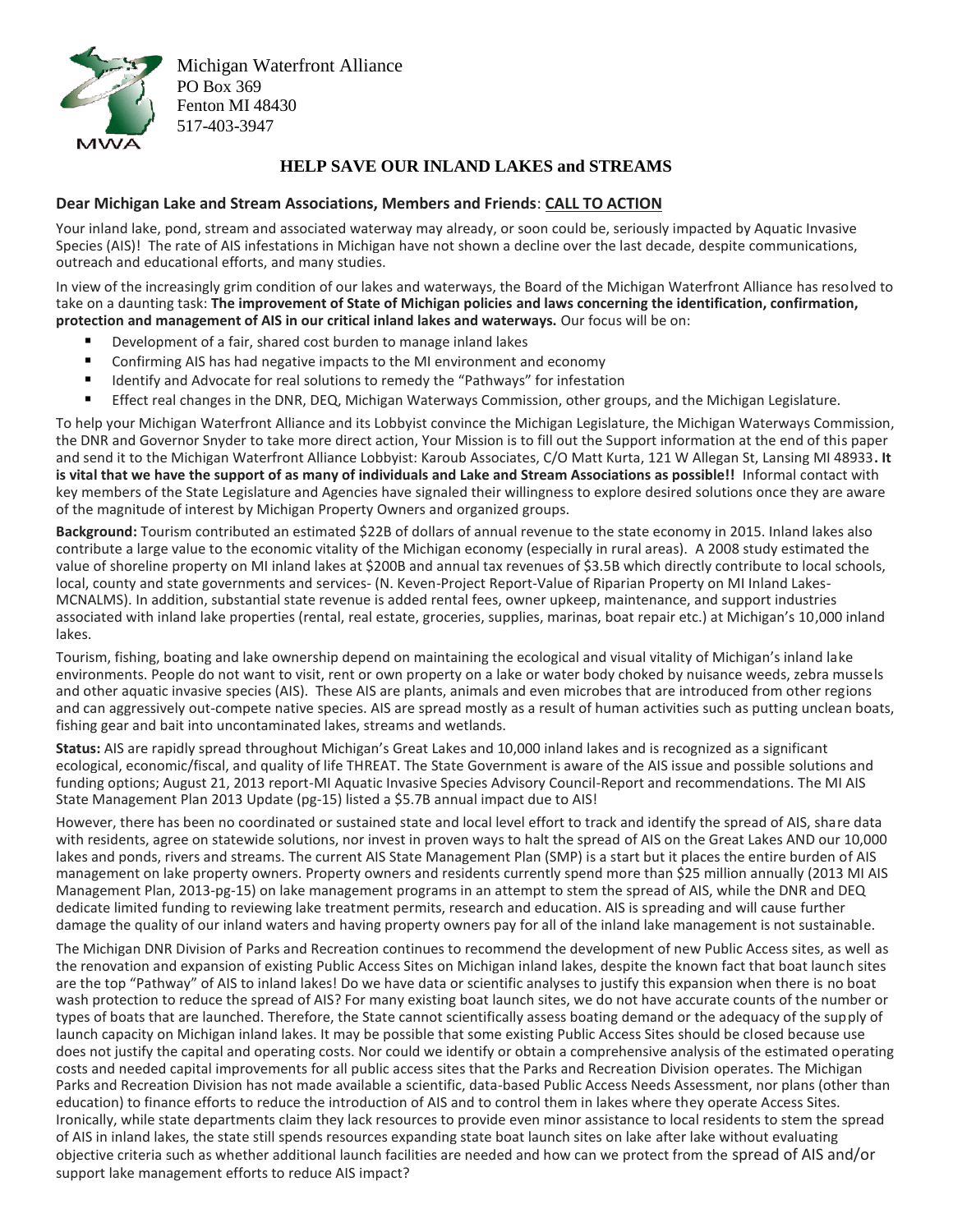

Michigan Waterfront Alliance PO Box 369 Fenton MI 48430 517-403-3947

## **HELP SAVE OUR INLAND LAKES and STREAMS**

## **Dear Michigan Lake and Stream Associations, Members and Friends**: **CALL TO ACTION**

Your inland lake, pond, stream and associated waterway may already, or soon could be, seriously impacted by Aquatic Invasive Species (AIS)! The rate of AIS infestations in Michigan have not shown a decline over the last decade, despite communications, outreach and educational efforts, and many studies.

In view of the increasingly grim condition of our lakes and waterways, the Board of the Michigan Waterfront Alliance has resolved to take on a daunting task: **The improvement of State of Michigan policies and laws concerning the identification, confirmation, protection and management of AIS in our critical inland lakes and waterways.** Our focus will be on:

- Development of a fair, shared cost burden to manage inland lakes
- Confirming AIS has had negative impacts to the MI environment and economy
- Identify and Advocate for real solutions to remedy the "Pathways" for infestation
- Effect real changes in the DNR, DEQ, Michigan Waterways Commission, other groups, and the Michigan Legislature.

To help your Michigan Waterfront Alliance and its Lobbyist convince the Michigan Legislature, the Michigan Waterways Commission, the DNR and Governor Snyder to take more direct action, Your Mission is to fill out the Support information at the end of this paper and send it to the Michigan Waterfront Alliance Lobbyist: Karoub Associates, C/O Matt Kurta, 121 W Allegan St, Lansing MI 48933**. It is vital that we have the support of as many of individuals and Lake and Stream Associations as possible!!** Informal contact with key members of the State Legislature and Agencies have signaled their willingness to explore desired solutions once they are aware of the magnitude of interest by Michigan Property Owners and organized groups.

**Background:** Tourism contributed an estimated \$22B of dollars of annual revenue to the state economy in 2015. Inland lakes also contribute a large value to the economic vitality of the Michigan economy (especially in rural areas). A 2008 study estimated the value of shoreline property on MI inland lakes at \$200B and annual tax revenues of \$3.5B which directly contribute to local schools, local, county and state governments and services- (N. Keven-Project Report-Value of Riparian Property on MI Inland Lakes-MCNALMS). In addition, substantial state revenue is added rental fees, owner upkeep, maintenance, and support industries associated with inland lake properties (rental, real estate, groceries, supplies, marinas, boat repair etc.) at Michigan's 10,000 inland lakes.

Tourism, fishing, boating and lake ownership depend on maintaining the ecological and visual vitality of Michigan's inland lake environments. People do not want to visit, rent or own property on a lake or water body choked by nuisance weeds, zebra mussels and other aquatic invasive species (AIS). These AIS are plants, animals and even microbes that are introduced from other regions and can aggressively out-compete native species. AIS are spread mostly as a result of human activities such as putting unclean boats, fishing gear and bait into uncontaminated lakes, streams and wetlands.

**Status:** AIS are rapidly spread throughout Michigan's Great Lakes and 10,000 inland lakes and is recognized as a significant ecological, economic/fiscal, and quality of life THREAT. The State Government is aware of the AIS issue and possible solutions and funding options; August 21, 2013 report-MI Aquatic Invasive Species Advisory Council-Report and recommendations. The MI AIS State Management Plan 2013 Update (pg-15) listed a \$5.7B annual impact due to AIS!

However, there has been no coordinated or sustained state and local level effort to track and identify the spread of AIS, share data with residents, agree on statewide solutions, nor invest in proven ways to halt the spread of AIS on the Great Lakes AND our 10,000 lakes and ponds, rivers and streams. The current AIS State Management Plan (SMP) is a start but it places the entire burden of AIS management on lake property owners. Property owners and residents currently spend more than \$25 million annually (2013 MI AIS Management Plan, 2013-pg-15) on lake management programs in an attempt to stem the spread of AIS, while the DNR and DEQ dedicate limited funding to reviewing lake treatment permits, research and education. AIS is spreading and will cause further damage the quality of our inland waters and having property owners pay for all of the inland lake management is not sustainable.

The Michigan DNR Division of Parks and Recreation continues to recommend the development of new Public Access sites, as well as the renovation and expansion of existing Public Access Sites on Michigan inland lakes, despite the known fact that boat launch sites are the top "Pathway" of AIS to inland lakes! Do we have data or scientific analyses to justify this expansion when there is no boat wash protection to reduce the spread of AIS? For many existing boat launch sites, we do not have accurate counts of the number or types of boats that are launched. Therefore, the State cannot scientifically assess boating demand or the adequacy of the supply of launch capacity on Michigan inland lakes. It may be possible that some existing Public Access Sites should be closed because use does not justify the capital and operating costs. Nor could we identify or obtain a comprehensive analysis of the estimated operating costs and needed capital improvements for all public access sites that the Parks and Recreation Division operates. The Michigan Parks and Recreation Division has not made available a scientific, data-based Public Access Needs Assessment, nor plans (other than education) to finance efforts to reduce the introduction of AIS and to control them in lakes where they operate Access Sites. Ironically, while state departments claim they lack resources to provide even minor assistance to local residents to stem the spread of AIS in inland lakes, the state still spends resources expanding state boat launch sites on lake after lake without evaluating objective criteria such as whether additional launch facilities are needed and how can we protect from the spread of AIS and/or support lake management efforts to reduce AIS impact?